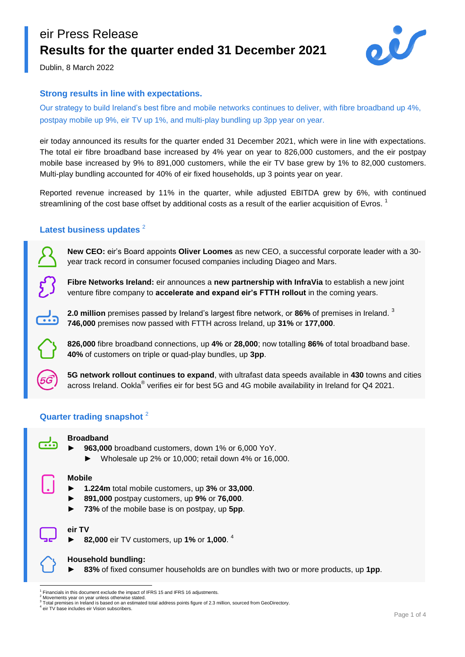### eir Press Release **Results for the quarter ended 31 December 2021**



Dublin, 8 March 2022

#### **Strong results in line with expectations.**

Our strategy to build Ireland's best fibre and mobile networks continues to deliver, with fibre broadband up 4%, postpay mobile up 9%, eir TV up 1%, and multi-play bundling up 3pp year on year.

eir today announced its results for the quarter ended 31 December 2021, which were in line with expectations. The total eir fibre broadband base increased by 4% year on year to 826,000 customers, and the eir postpay mobile base increased by 9% to 891,000 customers, while the eir TV base grew by 1% to 82,000 customers. Multi-play bundling accounted for 40% of eir fixed households, up 3 points year on year.

Reported revenue increased by 11% in the quarter, while adjusted EBITDA grew by 6%, with continued streamlining of the cost base offset by additional costs as a result of the earlier acquisition of Evros.  $^1$ 

#### Latest business updates<sup>2</sup>

**New CEO:** eir's Board appoints **Oliver Loomes** as new CEO, a successful corporate leader with a 30 year track record in consumer focused companies including Diageo and Mars.

**Fibre Networks Ireland:** eir announces a **new partnership with InfraVia** to establish a new joint venture fibre company to **accelerate and expand eir's FTTH rollout** in the coming years.

**2.0 million** premises passed by Ireland's largest fibre network, or **86%** of premises in Ireland. 3 **746,000** premises now passed with FTTH across Ireland, up **31%** or **177,000**.

**826,000** fibre broadband connections, up **4%** or **28,000**; now totalling **86%** of total broadband base. **40%** of customers on triple or quad-play bundles, up **3pp**.

**5G network rollout continues to expand**, with ultrafast data speeds available in **430** towns and cities across Ireland. Ookla® verifies eir for best 5G and 4G mobile availability in Ireland for Q4 2021.

#### **Quarter trading snapshot** <sup>2</sup>



#### **Broadband**

- 963,000 broadband customers, down 1% or 6,000 YoY.
	- ► Wholesale up 2% or 10,000; retail down 4% or 16,000.

#### **Mobile**

- ► **1.224m** total mobile customers, up **3%** or **33,000**.
- ► **891,000** postpay customers, up **9%** or **76,000**.
- 73% of the mobile base is on postpay, up 5pp.

#### **eir TV**

► **82,000** eir TV customers, up **1%** or **1,000**. 4

**Household bundling:**

83% of fixed consumer households are on bundles with two or more products, up 1pp.

**<sup>.</sup>** 1 Financials in this document exclude the impact of IFRS 15 and IFRS 16 adjustments.

Movements year on year unless otherwise stated. 3

Total premises in Ireland is based on an estimated total address points figure of 2.3 million, sourced from GeoDirectory.

<sup>4</sup> eir TV base includes eir Vision subscribers.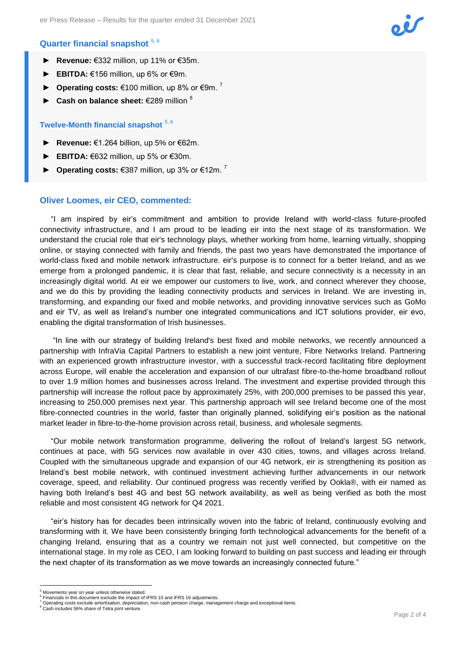# $\dot{\mathbf{U}}$

#### **Quarter financial snapshot** 5, 6

- ► **Revenue:** €332 million, up 11% or €35m.
- **EBITDA:** €156 million, up 6% or €9m.
- **Operating costs:** €100 million, up 8% or €9m.<sup>7</sup>
- ► **Cash on balance sheet:** €289 million <sup>8</sup>

#### **Twelve-Month financial snapshot** 5, 6

- ► **Revenue:** €1.264 billion, up 5% or €62m.
- **EBITDA:** €632 million, up 5% or €30m.
- ► **Operating costs:** €387 million, up 3% or €12m. <sup>7</sup>

#### **Oliver Loomes, eir CEO, commented:**

"I am inspired by eir's commitment and ambition to provide Ireland with world-class future-proofed connectivity infrastructure, and I am proud to be leading eir into the next stage of its transformation. We understand the crucial role that eir's technology plays, whether working from home, learning virtually, shopping online, or staying connected with family and friends, the past two years have demonstrated the importance of world-class fixed and mobile network infrastructure. eir's purpose is to connect for a better Ireland, and as we emerge from a prolonged pandemic, it is clear that fast, reliable, and secure connectivity is a necessity in an increasingly digital world. At eir we empower our customers to live, work, and connect wherever they choose, and we do this by providing the leading connectivity products and services in Ireland. We are investing in, transforming, and expanding our fixed and mobile networks, and providing innovative services such as GoMo and eir TV, as well as Ireland's number one integrated communications and ICT solutions provider, eir evo, enabling the digital transformation of Irish businesses.

"In line with our strategy of building Ireland's best fixed and mobile networks, we recently announced a partnership with InfraVia Capital Partners to establish a new joint venture, Fibre Networks Ireland. Partnering with an experienced growth infrastructure investor, with a successful track-record facilitating fibre deployment across Europe, will enable the acceleration and expansion of our ultrafast fibre-to-the-home broadband rollout to over 1.9 million homes and businesses across Ireland. The investment and expertise provided through this partnership will increase the rollout pace by approximately 25%, with 200,000 premises to be passed this year, increasing to 250,000 premises next year. This partnership approach will see Ireland become one of the most fibre-connected countries in the world, faster than originally planned, solidifying eir's position as the national market leader in fibre-to-the-home provision across retail, business, and wholesale segments.

"Our mobile network transformation programme, delivering the rollout of Ireland's largest 5G network, continues at pace, with 5G services now available in over 430 cities, towns, and villages across Ireland. Coupled with the simultaneous upgrade and expansion of our 4G network, eir is strengthening its position as Ireland's best mobile network, with continued investment achieving further advancements in our network coverage, speed, and reliability. Our continued progress was recently verified by Ookla®, with eir named as having both Ireland's best 4G and best 5G network availability, as well as being verified as both the most reliable and most consistent 4G network for Q4 2021.

"eir's history has for decades been intrinsically woven into the fabric of Ireland, continuously evolving and transforming with it. We have been consistently bringing forth technological advancements for the benefit of a changing Ireland, ensuring that as a country we remain not just well connected, but competitive on the international stage. In my role as CEO, I am looking forward to building on past success and leading eir through the next chapter of its transformation as we move towards an increasingly connected future."

**The Communist State**<br><sup>5</sup> Movements year on year unless otherwise stated.

<sup>&</sup>lt;sup>6</sup> Financials in this document exclude the impact of IFRS 15 and IFRS 16 adjustments. <sup>7</sup> Operating costs exclude amortisation, depreciation, non-cash pension charge, management charge and exceptional items.

<sup>&</sup>lt;sup>8</sup> Cash includes 56% share of Tetra joint venture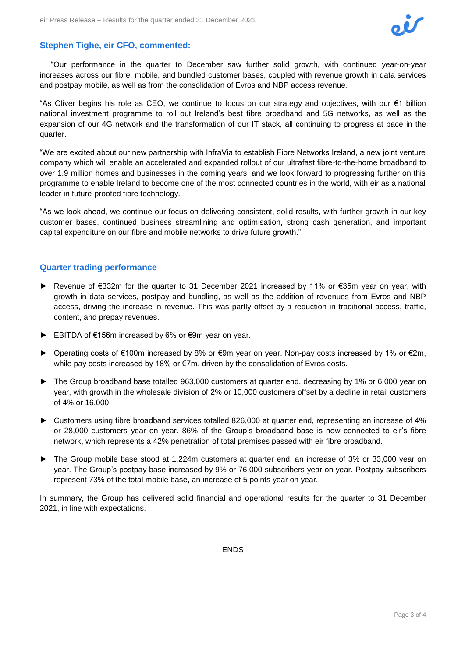

#### **Stephen Tighe, eir CFO, commented:**

"Our performance in the quarter to December saw further solid growth, with continued year-on-year increases across our fibre, mobile, and bundled customer bases, coupled with revenue growth in data services and postpay mobile, as well as from the consolidation of Evros and NBP access revenue.

"As Oliver begins his role as CEO, we continue to focus on our strategy and objectives, with our €1 billion national investment programme to roll out Ireland's best fibre broadband and 5G networks, as well as the expansion of our 4G network and the transformation of our IT stack, all continuing to progress at pace in the quarter.

"We are excited about our new partnership with InfraVia to establish Fibre Networks Ireland, a new joint venture company which will enable an accelerated and expanded rollout of our ultrafast fibre-to-the-home broadband to over 1.9 million homes and businesses in the coming years, and we look forward to progressing further on this programme to enable Ireland to become one of the most connected countries in the world, with eir as a national leader in future-proofed fibre technology.

"As we look ahead, we continue our focus on delivering consistent, solid results, with further growth in our key customer bases, continued business streamlining and optimisation, strong cash generation, and important capital expenditure on our fibre and mobile networks to drive future growth."

#### **Quarter trading performance**

- Revenue of €332m for the quarter to 31 December 2021 increased by 11% or €35m year on year, with growth in data services, postpay and bundling, as well as the addition of revenues from Evros and NBP access, driving the increase in revenue. This was partly offset by a reduction in traditional access, traffic, content, and prepay revenues.
- ► EBITDA of €156m increased by 6% or €9m year on year.
- ► Operating costs of €100m increased by 8% or €9m year on year. Non-pay costs increased by 1% or €2m, while pay costs increased by 18% or €7m, driven by the consolidation of Evros costs.
- ► The Group broadband base totalled 963,000 customers at quarter end, decreasing by 1% or 6,000 year on year, with growth in the wholesale division of 2% or 10,000 customers offset by a decline in retail customers of 4% or 16,000.
- ► Customers using fibre broadband services totalled 826,000 at quarter end, representing an increase of 4% or 28,000 customers year on year. 86% of the Group's broadband base is now connected to eir's fibre network, which represents a 42% penetration of total premises passed with eir fibre broadband.
- ► The Group mobile base stood at 1.224m customers at quarter end, an increase of 3% or 33,000 year on year. The Group's postpay base increased by 9% or 76,000 subscribers year on year. Postpay subscribers represent 73% of the total mobile base, an increase of 5 points year on year.

In summary, the Group has delivered solid financial and operational results for the quarter to 31 December 2021, in line with expectations.

ENDS